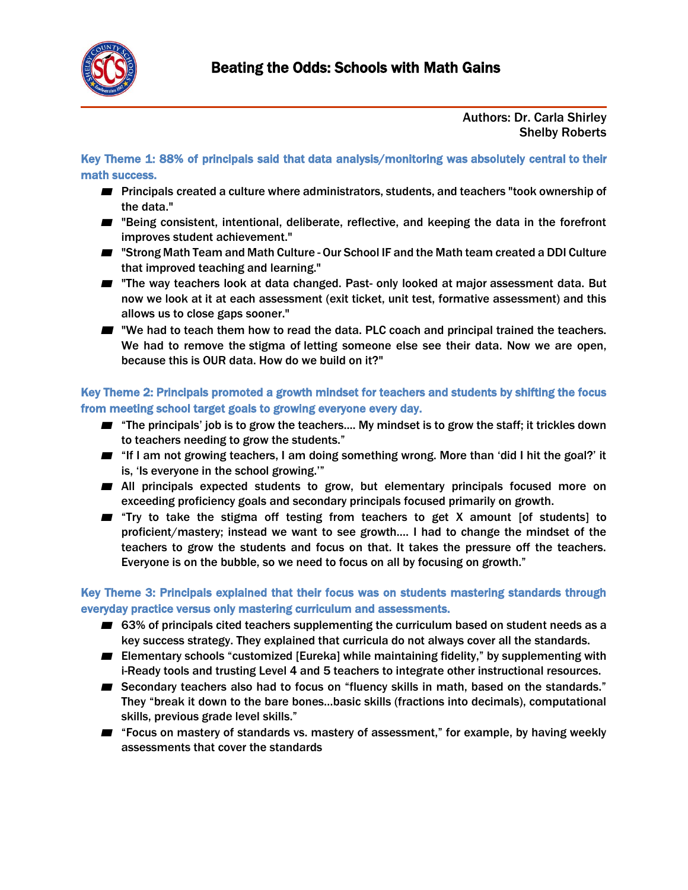

## Authors: Dr. Carla Shirley Shelby Roberts

Key Theme 1: 88% of principals said that data analysis/monitoring was absolutely central to their math success.

- Principals created a culture where administrators, students, and teachers "took ownership of the data."
- "Being consistent, intentional, deliberate, reflective, and keeping the data in the forefront improves student achievement."
- "Strong Math Team and Math Culture Our School IF and the Math team created a DDI Culture that improved teaching and learning."
- "The way teachers look at data changed. Past- only looked at major assessment data. But now we look at it at each assessment (exit ticket, unit test, formative assessment) and this allows us to close gaps sooner."
- "We had to teach them how to read the data. PLC coach and principal trained the teachers. We had to remove the stigma of letting someone else see their data. Now we are open, because this is OUR data. How do we build on it?"

Key Theme 2: Principals promoted a growth mindset for teachers and students by shifting the focus from meeting school target goals to growing everyone every day.

- "The principals' job is to grow the teachers.... My mindset is to grow the staff; it trickles down to teachers needing to grow the students."
- "If I am not growing teachers, I am doing something wrong. More than 'did I hit the goal?' it is, 'Is everyone in the school growing.'"
- All principals expected students to grow, but elementary principals focused more on exceeding proficiency goals and secondary principals focused primarily on growth.
- "Try to take the stigma off testing from teachers to get X amount [of students] to proficient/mastery; instead we want to see growth…. I had to change the mindset of the teachers to grow the students and focus on that. It takes the pressure off the teachers. Everyone is on the bubble, so we need to focus on all by focusing on growth."

Key Theme 3: Principals explained that their focus was on students mastering standards through everyday practice versus only mastering curriculum and assessments.

- 63% of principals cited teachers supplementing the curriculum based on student needs as a key success strategy. They explained that curricula do not always cover all the standards.
- Elementary schools "customized [Eureka] while maintaining fidelity," by supplementing with i-Ready tools and trusting Level 4 and 5 teachers to integrate other instructional resources.
- Secondary teachers also had to focus on "fluency skills in math, based on the standards." They "break it down to the bare bones…basic skills (fractions into decimals), computational skills, previous grade level skills."
- "Focus on mastery of standards vs. mastery of assessment," for example, by having weekly assessments that cover the standards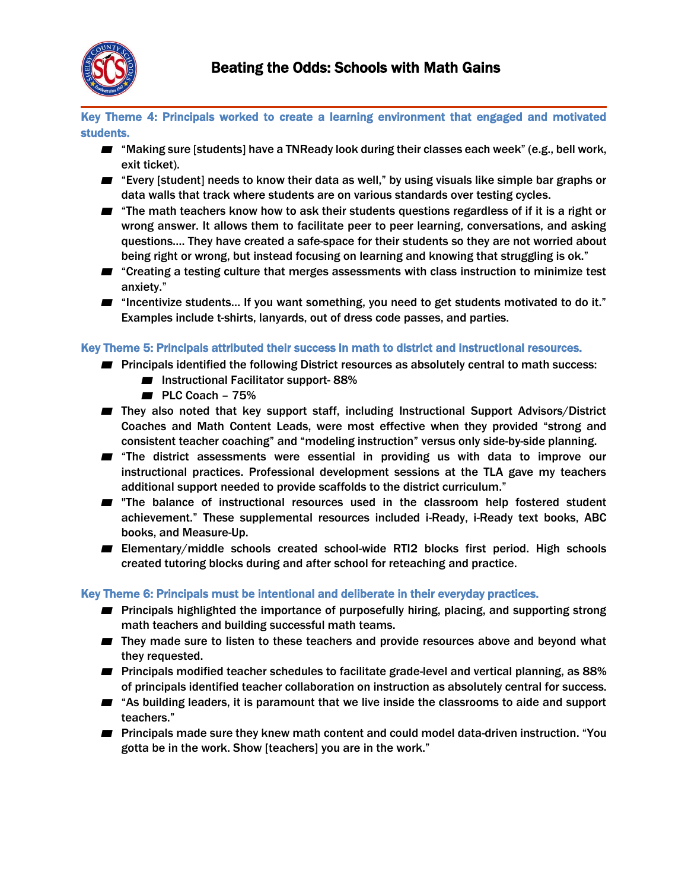

Key Theme 4: Principals worked to create a learning environment that engaged and motivated students.

- $\blacksquare$  "Making sure [students] have a TNReady look during their classes each week" (e.g., bell work, exit ticket).
- "Every [student] needs to know their data as well," by using visuals like simple bar graphs or data walls that track where students are on various standards over testing cycles.
- $\blacksquare$  "The math teachers know how to ask their students questions regardless of if it is a right or wrong answer. It allows them to facilitate peer to peer learning, conversations, and asking questions…. They have created a safe-space for their students so they are not worried about being right or wrong, but instead focusing on learning and knowing that struggling is ok."
- "Creating a testing culture that merges assessments with class instruction to minimize test anxiety."
- "Incentivize students... If you want something, you need to get students motivated to do it." Examples include t-shirts, lanyards, out of dress code passes, and parties.

## Key Theme 5: Principals attributed their success in math to district and instructional resources.

- Principals identified the following District resources as absolutely central to math success:
	- Instructional Facilitator support-88%
	- PLC Coach 75%
- They also noted that key support staff, including Instructional Support Advisors/District Coaches and Math Content Leads, were most effective when they provided "strong and consistent teacher coaching" and "modeling instruction" versus only side-by-side planning.
- **■** "The district assessments were essential in providing us with data to improve our instructional practices. Professional development sessions at the TLA gave my teachers additional support needed to provide scaffolds to the district curriculum."
- "The balance of instructional resources used in the classroom help fostered student achievement." These supplemental resources included i-Ready, i-Ready text books, ABC books, and Measure-Up.
- Elementary/middle schools created school-wide RTI2 blocks first period. High schools created tutoring blocks during and after school for reteaching and practice.

## Key Theme 6: Principals must be intentional and deliberate in their everyday practices.

- Principals highlighted the importance of purposefully hiring, placing, and supporting strong math teachers and building successful math teams.
- They made sure to listen to these teachers and provide resources above and beyond what they requested.
- Principals modified teacher schedules to facilitate grade-level and vertical planning, as 88% of principals identified teacher collaboration on instruction as absolutely central for success.
- "As building leaders, it is paramount that we live inside the classrooms to aide and support teachers."
- Principals made sure they knew math content and could model data-driven instruction. "You gotta be in the work. Show [teachers] you are in the work."